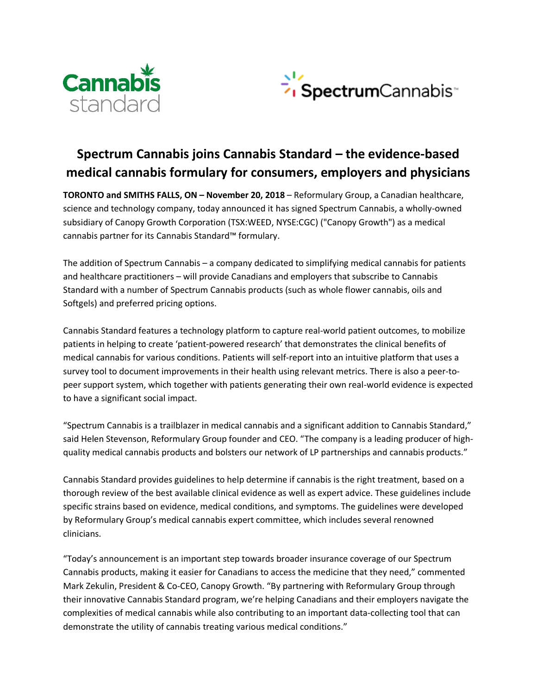



# **Spectrum Cannabis joins Cannabis Standard – the evidence-based medical cannabis formulary for consumers, employers and physicians**

**TORONTO and SMITHS FALLS, ON – November 20, 2018** – Reformulary Group, a Canadian healthcare, science and technology company, today announced it has signed Spectrum Cannabis, a wholly-owned subsidiary of Canopy Growth Corporation (TSX:WEED, NYSE:CGC) ("Canopy Growth") as a medical cannabis partner for its Cannabis Standard™ formulary.

The addition of Spectrum Cannabis – a company dedicated to simplifying medical cannabis for patients and healthcare practitioners – will provide Canadians and employers that subscribe to Cannabis Standard with a number of Spectrum Cannabis products (such as whole flower cannabis, oils and Softgels) and preferred pricing options.

Cannabis Standard features a technology platform to capture real-world patient outcomes, to mobilize patients in helping to create 'patient-powered research' that demonstrates the clinical benefits of medical cannabis for various conditions. Patients will self-report into an intuitive platform that uses a survey tool to document improvements in their health using relevant metrics. There is also a peer-topeer support system, which together with patients generating their own real-world evidence is expected to have a significant social impact.

"Spectrum Cannabis is a trailblazer in medical cannabis and a significant addition to Cannabis Standard," said Helen Stevenson, Reformulary Group founder and CEO. "The company is a leading producer of highquality medical cannabis products and bolsters our network of LP partnerships and cannabis products."

Cannabis Standard provides guidelines to help determine if cannabis is the right treatment, based on a thorough review of the best available clinical evidence as well as expert advice. These guidelines include specific strains based on evidence, medical conditions, and symptoms. The guidelines were developed by Reformulary Group's medical cannabis expert committee, which includes several renowned clinicians.

"Today's announcement is an important step towards broader insurance coverage of our Spectrum Cannabis products, making it easier for Canadians to access the medicine that they need," commented Mark Zekulin, President & Co-CEO, Canopy Growth. "By partnering with Reformulary Group through their innovative Cannabis Standard program, we're helping Canadians and their employers navigate the complexities of medical cannabis while also contributing to an important data-collecting tool that can demonstrate the utility of cannabis treating various medical conditions."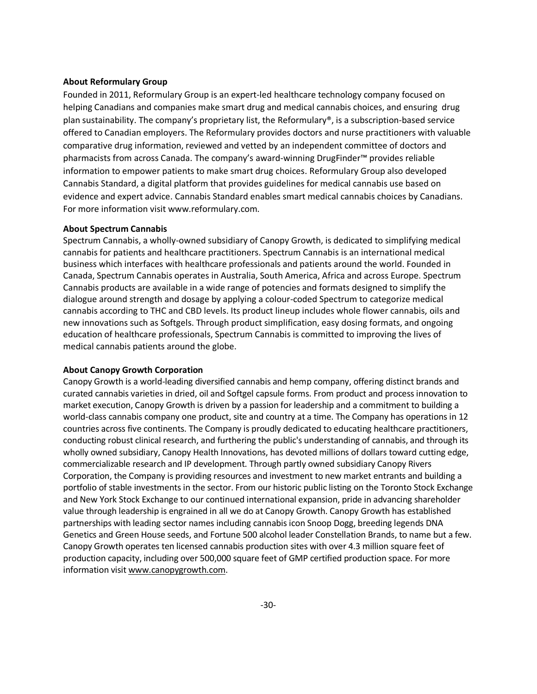# **About Reformulary Group**

Founded in 2011, Reformulary Group is an expert-led healthcare technology company focused on helping Canadians and companies make smart drug and medical cannabis choices, and ensuring drug plan sustainability. The company's proprietary list, the Reformulary®, is a subscription-based service offered to Canadian employers. The Reformulary provides doctors and nurse practitioners with valuable comparative drug information, reviewed and vetted by an independent committee of doctors and pharmacists from across Canada. The company's award-winning DrugFinder™ provides reliable information to empower patients to make smart drug choices. Reformulary Group also developed Cannabis Standard, a digital platform that provides guidelines for medical cannabis use based on evidence and expert advice. Cannabis Standard enables smart medical cannabis choices by Canadians. For more information visit www.reformulary.com.

#### **About Spectrum Cannabis**

Spectrum Cannabis, a wholly-owned subsidiary of Canopy Growth, is dedicated to simplifying medical cannabis for patients and healthcare practitioners. Spectrum Cannabis is an international medical business which interfaces with healthcare professionals and patients around the world. Founded in Canada, Spectrum Cannabis operates in Australia, South America, Africa and across Europe. Spectrum Cannabis products are available in a wide range of potencies and formats designed to simplify the dialogue around strength and dosage by applying a colour-coded Spectrum to categorize medical cannabis according to THC and CBD levels. Its product lineup includes whole flower cannabis, oils and new innovations such as Softgels. Through product simplification, easy dosing formats, and ongoing education of healthcare professionals, Spectrum Cannabis is committed to improving the lives of medical cannabis patients around the globe.

### **About Canopy Growth Corporation**

Canopy Growth is a world-leading diversified cannabis and hemp company, offering distinct brands and curated cannabis varieties in dried, oil and Softgel capsule forms. From product and process innovation to market execution, Canopy Growth is driven by a passion for leadership and a commitment to building a world-class cannabis company one product, site and country at a time. The Company has operations in 12 countries across five continents. The Company is proudly dedicated to educating healthcare practitioners, conducting robust clinical research, and furthering the public's understanding of cannabis, and through its wholly owned subsidiary, Canopy Health Innovations, has devoted millions of dollars toward cutting edge, commercializable research and IP development. Through partly owned subsidiary Canopy Rivers Corporation, the Company is providing resources and investment to new market entrants and building a portfolio of stable investments in the sector. From our historic public listing on the Toronto Stock Exchange and New York Stock Exchange to our continued international expansion, pride in advancing shareholder value through leadership is engrained in all we do at Canopy Growth. Canopy Growth has established partnerships with leading sector names including cannabis icon Snoop Dogg, breeding legends DNA Genetics and Green House seeds, and Fortune 500 alcohol leader Constellation Brands, to name but a few. Canopy Growth operates ten licensed cannabis production sites with over 4.3 million square feet of production capacity, including over 500,000 square feet of GMP certified production space. For more information visi[t www.canopygrowth.com.](http://www.canopygrowth.com/)